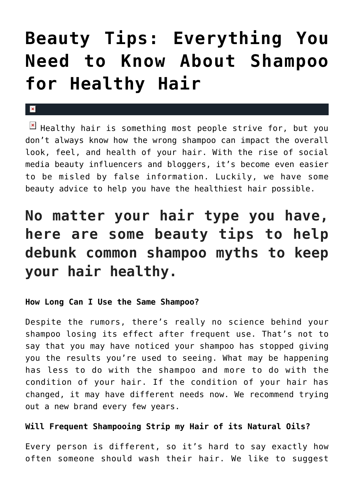# **[Beauty Tips: Everything You](https://cupidspulse.com/135395/beauty-tips-shampoo-healthy-hair/) [Need to Know About Shampoo](https://cupidspulse.com/135395/beauty-tips-shampoo-healthy-hair/) [for Healthy Hair](https://cupidspulse.com/135395/beauty-tips-shampoo-healthy-hair/)**

 $\mathbf{x}$ 

 $\mathbb{E}$  Healthy hair is something most people strive for, but you don't always know how the wrong shampoo can impact the overall look, feel, and health of your hair. With the rise of social media beauty influencers and bloggers, it's become even easier to be misled by false information. Luckily, we have some beauty advice to help you have the healthiest hair possible.

# **No matter your hair type you have, here are some beauty tips to help debunk common shampoo myths to keep your hair healthy.**

### **How Long Can I Use the Same Shampoo?**

Despite the rumors, there's really no science behind your shampoo losing its effect after frequent use. That's not to say that you may have noticed your shampoo has stopped giving you the results you're used to seeing. What may be happening has less to do with the shampoo and more to do with the condition of your hair. If the condition of your hair has changed, it may have different needs now. We recommend trying out a new brand every few years.

### **Will Frequent Shampooing Strip my Hair of its Natural Oils?**

Every person is different, so it's hard to say exactly how often someone should wash their hair. We like to suggest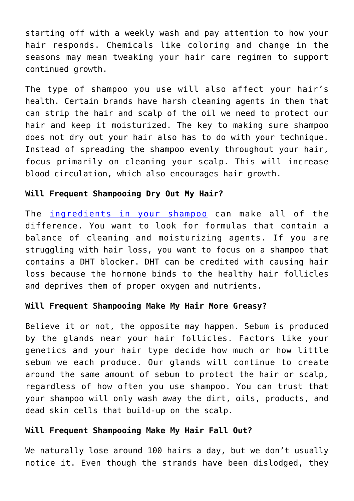starting off with a weekly wash and pay attention to how your hair responds. Chemicals like coloring and change in the seasons may mean tweaking your hair care regimen to support continued growth.

The type of shampoo you use will also affect your hair's health. Certain brands have harsh cleaning agents in them that can strip the hair and scalp of the oil we need to protect our hair and keep it moisturized. The key to making sure shampoo does not dry out your hair also has to do with your technique. Instead of spreading the shampoo evenly throughout your hair, focus primarily on cleaning your scalp. This will increase blood circulation, which also encourages hair growth.

### **Will Frequent Shampooing Dry Out My Hair?**

The [ingredients in your shampoo](https://kiierr.com/how-ingredients-in-your-shampoo-might-be-harming-your-locks/) can make all of the difference. You want to look for formulas that contain a balance of cleaning and moisturizing agents. If you are struggling with hair loss, you want to focus on a shampoo that contains a DHT blocker. DHT can be credited with causing hair loss because the hormone binds to the healthy hair follicles and deprives them of proper oxygen and nutrients.

### **Will Frequent Shampooing Make My Hair More Greasy?**

Believe it or not, the opposite may happen. Sebum is produced by the glands near your hair follicles. Factors like your genetics and your hair type decide how much or how little sebum we each produce. Our glands will continue to create around the same amount of sebum to protect the hair or scalp, regardless of how often you use shampoo. You can trust that your shampoo will only wash away the dirt, oils, products, and dead skin cells that build-up on the scalp.

### **Will Frequent Shampooing Make My Hair Fall Out?**

We naturally lose around 100 hairs a day, but we don't usually notice it. Even though the strands have been dislodged, they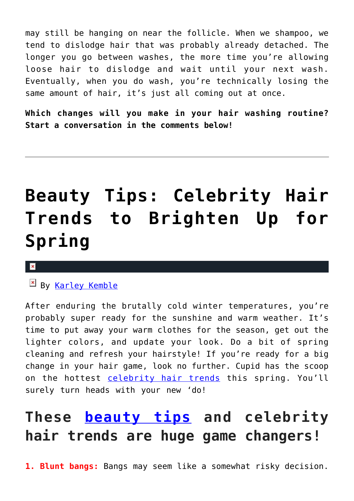may still be hanging on near the follicle. When we shampoo, we tend to dislodge hair that was probably already detached. The longer you go between washes, the more time you're allowing loose hair to dislodge and wait until your next wash. Eventually, when you do wash, you're technically losing the same amount of hair, it's just all coming out at once.

**Which changes will you make in your hair washing routine? Start a conversation in the comments below!**

# **[Beauty Tips: Celebrity Hair](https://cupidspulse.com/122386/beauty-tips-celebrity-hair-trends-spring/) [Trends to Brighten Up for](https://cupidspulse.com/122386/beauty-tips-celebrity-hair-trends-spring/) [Spring](https://cupidspulse.com/122386/beauty-tips-celebrity-hair-trends-spring/)**

### $\mathbf x$

By [Karley Kemble](http://cupidspulse.com/121255/karley-kemble/)

After enduring the brutally cold winter temperatures, you're probably super ready for the sunshine and warm weather. It's time to put away your warm clothes for the season, get out the lighter colors, and update your look. Do a bit of spring cleaning and refresh your hairstyle! If you're ready for a big change in your hair game, look no further. Cupid has the scoop on the hottest [celebrity hair trends](http://cupidspulse.com/beauty/) this spring. You'll surely turn heads with your new 'do!

# **These [beauty tips](http://cupidspulse.com/beauty/) and celebrity hair trends are huge game changers!**

**1. Blunt bangs:** Bangs may seem like a somewhat risky decision.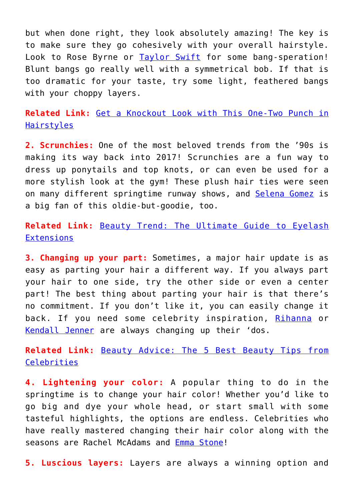but when done right, they look absolutely amazing! The key is to make sure they go cohesively with your overall hairstyle. Look to Rose Byrne or [Taylor Swift](http://cupidspulse.com/86081/taylor-swift/) for some bang-speration! Blunt bangs go really well with a symmetrical bob. If that is too dramatic for your taste, try some light, feathered bangs with your choppy layers.

**Related Link:** [Get a Knockout Look with This One-Two Punch in](http://cupidspulse.com/121172/knockout-look-one-two-punch-hairstyles/) [Hairstyles](http://cupidspulse.com/121172/knockout-look-one-two-punch-hairstyles/)

**2. Scrunchies:** One of the most beloved trends from the '90s is making its way back into 2017! Scrunchies are a fun way to dress up ponytails and top knots, or can even be used for a more stylish look at the gym! These plush hair ties were seen on many different springtime runway shows, and [Selena Gomez](http://cupidspulse.com/89073/selena-gomez/) is a big fan of this oldie-but-goodie, too.

**Related Link:** [Beauty Trend: The Ultimate Guide to Eyelash](http://cupidspulse.com/120261/beauty-trend-guide-eyelash-extensions/) **[Extensions](http://cupidspulse.com/120261/beauty-trend-guide-eyelash-extensions/)** 

**3. Changing up your part:** Sometimes, a major hair update is as easy as parting your hair a different way. If you always part your hair to one side, try the other side or even a center part! The best thing about parting your hair is that there's no commitment. If you don't like it, you can easily change it back. If you need some celebrity inspiration, [Rihanna](http://cupidspulse.com/tag/rihanna/) or [Kendall Jenner](http://cupidspulse.com/93049/kendall-jenner/) are always changing up their 'dos.

**Related Link:** [Beauty Advice: The 5 Best Beauty Tips from](http://cupidspulse.com/120052/beauty-best-beauty-tips-celebrities/) [Celebrities](http://cupidspulse.com/120052/beauty-best-beauty-tips-celebrities/)

**4. Lightening your color:** A popular thing to do in the springtime is to change your hair color! Whether you'd like to go big and dye your whole head, or start small with some tasteful highlights, the options are endless. Celebrities who have really mastered changing their hair color along with the seasons are Rachel McAdams and [Emma Stone!](http://cupidspulse.com/94255/emma-stone/)

**5. Luscious layers:** Layers are always a winning option and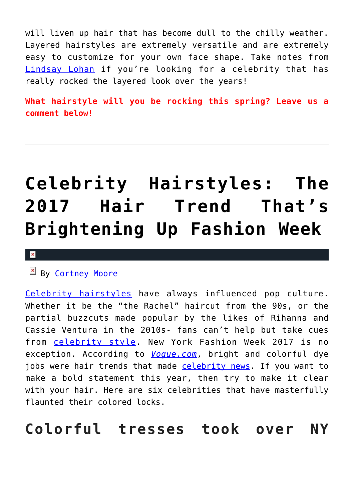will liven up hair that has become dull to the chilly weather. Layered hairstyles are extremely versatile and are extremely easy to customize for your own face shape. Take notes from [Lindsay Lohan](http://cupidspulse.com/110457/lindsay-lohan/) if you're looking for a celebrity that has really rocked the layered look over the years!

**What hairstyle will you be rocking this spring? Leave us a comment below!**

# **[Celebrity Hairstyles: The](https://cupidspulse.com/116997/celebrity-hairstyles-2017-hair-trend-brightening-fashion-week/) [2017 Hair Trend That's](https://cupidspulse.com/116997/celebrity-hairstyles-2017-hair-trend-brightening-fashion-week/) [Brightening Up Fashion Week](https://cupidspulse.com/116997/celebrity-hairstyles-2017-hair-trend-brightening-fashion-week/)**

#### $\mathbf{x}$

By [Cortney Moore](http://cupidspulse.com/107134/cortney-moore/)

[Celebrity hairstyles](http://cupidspulse.com/beauty/) have always influenced pop culture. Whether it be the "the Rachel" haircut from the 90s, or the partial buzzcuts made popular by the likes of Rihanna and Cassie Ventura in the 2010s- fans can't help but take cues from [celebrity style.](http://cupidspulse.com/fashion/) New York Fashion Week 2017 is no exception. According to *[Vogue.com](http://www.vogue.com/article/new-york-fashion-week-fall-2017-ready-to-wear-street-style-trend-bright-hair-colors-photos)*, bright and colorful dye jobs were hair trends that made [celebrity news.](http://cupidspulse.com) If you want to make a bold statement this year, then try to make it clear with your hair. Here are six celebrities that have masterfully flaunted their colored locks.

**Colorful tresses took over NY**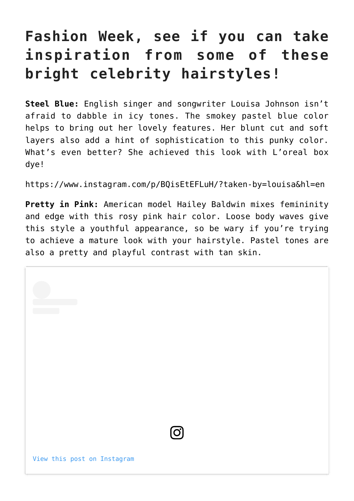## **Fashion Week, see if you can take inspiration from some of these bright celebrity hairstyles!**

**Steel Blue:** English singer and songwriter Louisa Johnson isn't afraid to dabble in icy tones. The smokey pastel blue color helps to bring out her lovely features. Her blunt cut and soft layers also add a hint of sophistication to this punky color. What's even better? She achieved this look with L'oreal box dye!

https://www.instagram.com/p/BQisEtEFLuH/?taken-by=louisa&hl=en

**Pretty in Pink:** American model Hailey Baldwin mixes femininity and edge with this rosy pink hair color. Loose body waves give this style a youthful appearance, so be wary if you're trying to achieve a mature look with your hairstyle. Pastel tones are also a pretty and playful contrast with tan skin.

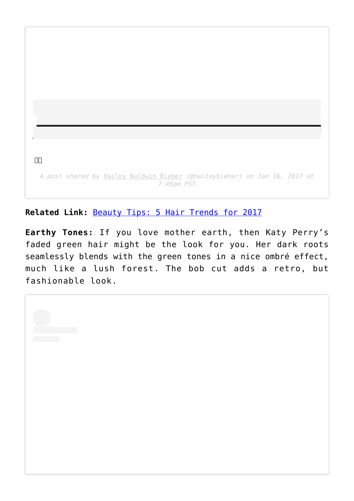$\Box$ Box *A post shared by* [Hailey Baldwin Bieber](https://www.instagram.com/haileybieber/?utm_source=ig_embed&utm_campaign=loading) *(@haileybieber) on Jan 16, 2017 at 7:45pm PST*

**Related Link:** [Beauty Tips: 5 Hair Trends for 2017](http://cupidspulse.com/116380/beauty-tips-hair-trends-2017/)

**Earthy Tones:** If you love mother earth, then Katy Perry's faded green hair might be the look for you. Her dark roots seamlessly blends with the green tones in a nice ombré effect, much like a lush forest. The bob cut adds a retro, but fashionable look.

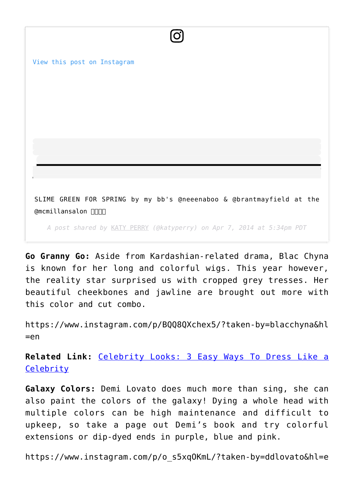

**Go Granny Go:** Aside from Kardashian-related drama, Blac Chyna is known for her long and colorful wigs. This year however, the reality star surprised us with cropped grey tresses. Her beautiful cheekbones and jawline are brought out more with this color and cut combo.

https://www.instagram.com/p/BQQ8QXchex5/?taken-by=blacchyna&hl  $=en$ 

**Related Link:** [Celebrity Looks: 3 Easy Ways To Dress Like a](http://cupidspulse.com/116999/celebrity-looks-easy-ways-dress-like-celebrity/) **[Celebrity](http://cupidspulse.com/116999/celebrity-looks-easy-ways-dress-like-celebrity/)** 

**Galaxy Colors:** Demi Lovato does much more than sing, she can also paint the colors of the galaxy! Dying a whole head with multiple colors can be high maintenance and difficult to upkeep, so take a page out Demi's book and try colorful extensions or dip-dyed ends in purple, blue and pink.

https://www.instagram.com/p/o\_s5xqOKmL/?taken-by=ddlovato&hl=e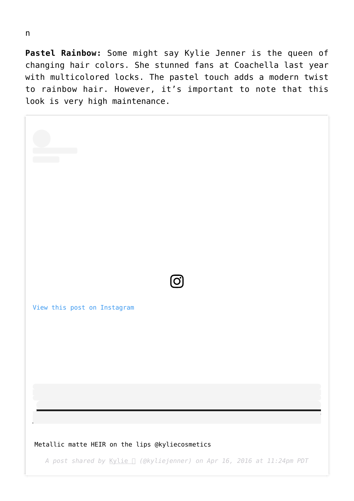**Pastel Rainbow:** Some might say Kylie Jenner is the queen of changing hair colors. She stunned fans at Coachella last year with multicolored locks. The pastel touch adds a modern twist to rainbow hair. However, it's important to note that this look is very high maintenance.

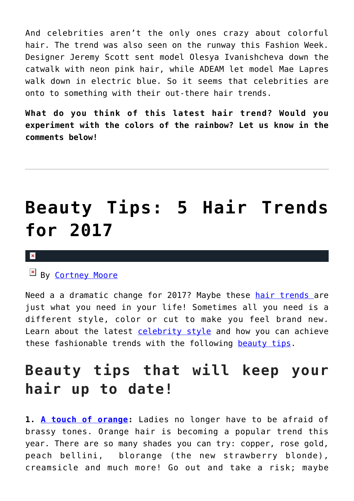And celebrities aren't the only ones crazy about colorful hair. The trend was also seen on the runway this Fashion Week. Designer Jeremy Scott sent model Olesya Ivanishcheva down the catwalk with neon pink hair, while ADEAM let model Mae Lapres walk down in electric blue. So it seems that celebrities are onto to something with their out-there hair trends.

**What do you think of this latest hair trend? Would you experiment with the colors of the rainbow? Let us know in the comments below!**

# **[Beauty Tips: 5 Hair Trends](https://cupidspulse.com/116380/beauty-tips-hair-trends-2017/) [for 2017](https://cupidspulse.com/116380/beauty-tips-hair-trends-2017/)**

#### $\pmb{\times}$

By [Cortney Moore](http://cupidspulse.com/107134/cortney-moore/)

Need a a dramatic change for 2017? Maybe these [hair trends](http://cupidspulse.com/beauty/) are just what you need in your life! Sometimes all you need is a different style, color or cut to make you feel brand new. Learn about the latest [celebrity style](http://cupidspulse.com/celebrity-news/) and how you can achieve these fashionable trends with the following [beauty tips.](http://cupidspulse.com/beauty/)

## **Beauty tips that will keep your hair up to date!**

**1. [A touch of orange:](https://www.instagram.com/p/BPnjJVUjRkL/)** Ladies no longer have to be afraid of brassy tones. Orange hair is becoming a popular trend this year. There are so many shades you can try: copper, rose gold, peach bellini, blorange (the new strawberry blonde), creamsicle and much more! Go out and take a risk; maybe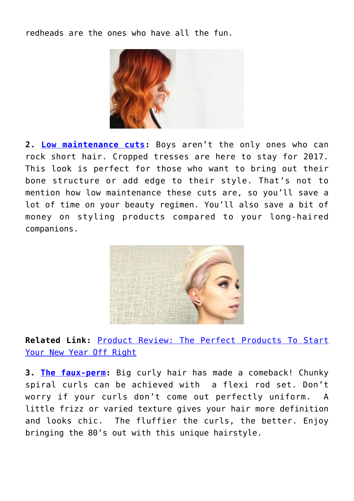redheads are the ones who have all the fun.



**2. [Low maintenance cuts](https://www.instagram.com/p/BPd-GQHjwaN/):** Boys aren't the only ones who can rock short hair. Cropped tresses are here to stay for 2017. This look is perfect for those who want to bring out their bone structure or add edge to their style. That's not to mention how low maintenance these cuts are, so you'll save a lot of time on your beauty regimen. You'll also save a bit of money on styling products compared to your long-haired companions.



**Related Link:** [Product Review: The Perfect Products To Start](http://cupidspulse.com/116334/product-review-perfect-products-start-new-year-off-right/) [Your New Year Off Right](http://cupidspulse.com/116334/product-review-perfect-products-start-new-year-off-right/)

**3. [The faux-perm](https://www.instagram.com/p/BPI8aQ6jnCj/):** Big curly hair has made a comeback! Chunky spiral curls can be achieved with a flexi rod set. Don't worry if your curls don't come out perfectly uniform. A little frizz or varied texture gives your hair more definition and looks chic. The fluffier the curls, the better. Enjoy bringing the 80's out with this unique hairstyle.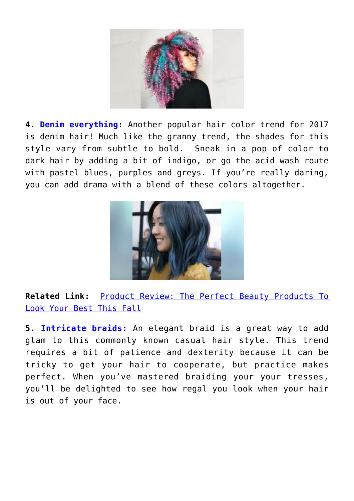

**4. [Denim everything:](https://www.instagram.com/p/BPA51RiDQ_e/)** Another popular hair color trend for 2017 is denim hair! Much like the granny trend, the shades for this style vary from subtle to bold. Sneak in a pop of color to dark hair by adding a bit of indigo, or go the acid wash route with pastel blues, purples and greys. If you're really daring, you can add drama with a blend of these colors altogether.



**Related Link:** [Product Review: The Perfect Beauty Products To](http://cupidspulse.com/115318/product-review-perfect-beauty-products-look-best-fall/) [Look Your Best This Fall](http://cupidspulse.com/115318/product-review-perfect-beauty-products-look-best-fall/)

**5. [Intricate braids:](https://www.instagram.com/p/BO-QwAujURI/)** An elegant braid is a great way to add glam to this commonly known casual hair style. This trend requires a bit of patience and dexterity because it can be tricky to get your hair to cooperate, but practice makes perfect. When you've mastered braiding your your tresses, you'll be delighted to see how regal you look when your hair is out of your face.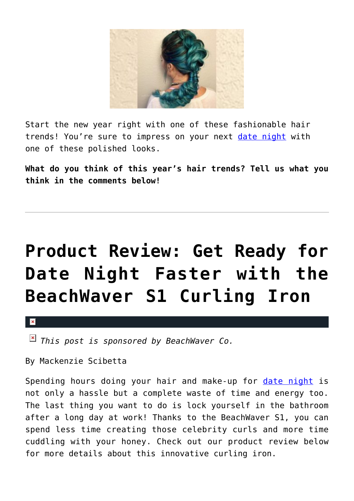

Start the new year right with one of these fashionable hair trends! You're sure to impress on your next [date night](http://cupidspulse.com/love/weekend-date-ideas/) with one of these polished looks.

**What do you think of this year's hair trends? Tell us what you think in the comments below!**

# **[Product Review: Get Ready for](https://cupidspulse.com/100388/product-review-beachwaver-s1-curling-iron/) [Date Night Faster with the](https://cupidspulse.com/100388/product-review-beachwaver-s1-curling-iron/) [BeachWaver S1 Curling Iron](https://cupidspulse.com/100388/product-review-beachwaver-s1-curling-iron/)**

x

*This post is sponsored by BeachWaver Co.* 

By Mackenzie Scibetta

Spending hours doing your hair and make-up for [date night](http://cupidspulse.com/dating/date-ideas/) is not only a hassle but a complete waste of time and energy too. The last thing you want to do is lock yourself in the bathroom after a long day at work! Thanks to the BeachWaver S1, you can spend less time creating those celebrity curls and more time cuddling with your honey. Check out our product review below for more details about this innovative curling iron.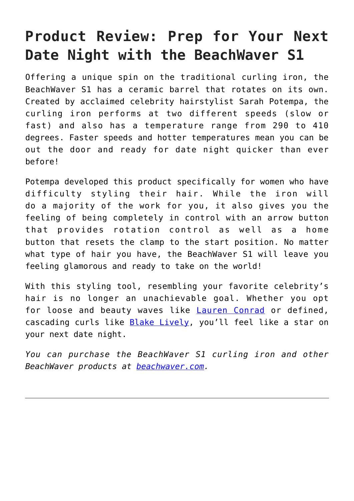## **Product Review: Prep for Your Next Date Night with the BeachWaver S1**

Offering a unique spin on the traditional curling iron, the BeachWaver S1 has a ceramic barrel that rotates on its own. Created by acclaimed celebrity hairstylist Sarah Potempa, the curling iron performs at two different speeds (slow or fast) and also has a temperature range from 290 to 410 degrees. Faster speeds and hotter temperatures mean you can be out the door and ready for date night quicker than ever before!

Potempa developed this product specifically for women who have difficulty styling their hair. While the iron will do a majority of the work for you, it also gives you the feeling of being completely in control with an arrow button that provides rotation control as well as a home button that resets the clamp to the start position. No matter what type of hair you have, the BeachWaver S1 will leave you feeling glamorous and ready to take on the world!

With this styling tool, resembling your favorite celebrity's hair is no longer an unachievable goal. Whether you opt for loose and beauty waves like [Lauren Conrad](http://cupidspulse.com/89561/lauren-conrad/) or defined, cascading curls like [Blake Lively](http://cupidspulse.com/93047/blake-lively/), you'll feel like a star on your next date night.

*You can purchase the BeachWaver S1 curling iron and other BeachWaver products at [beachwaver.com](http://beachwaver.com/).*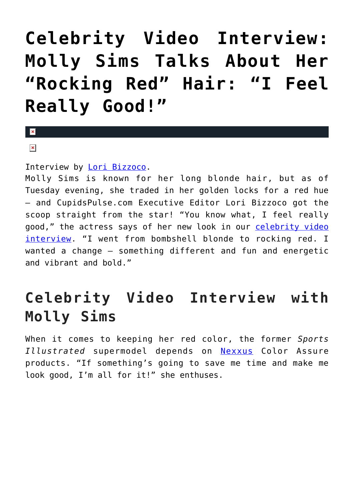# **[Celebrity Video Interview:](https://cupidspulse.com/70713/molly-sims-hair-color-nexxus/) [Molly Sims Talks About Her](https://cupidspulse.com/70713/molly-sims-hair-color-nexxus/) ["Rocking Red" Hair: "I Feel](https://cupidspulse.com/70713/molly-sims-hair-color-nexxus/) [Really Good!"](https://cupidspulse.com/70713/molly-sims-hair-color-nexxus/)**

## $\mathbf{x}$

### $\pmb{\times}$

### Interview by [Lori Bizzoco.](http://cupidspulse.com/104596/lori-bizzoco/)

Molly Sims is known for her long blonde hair, but as of Tuesday evening, she traded in her golden locks for a red hue — and CupidsPulse.com Executive Editor Lori Bizzoco got the scoop straight from the star! "You know what, I feel really good," the actress says of her new look in our [celebrity video](http://cupidspulse.com/videos/exclusives-videos/) [interview](http://cupidspulse.com/videos/exclusives-videos/). "I went from bombshell blonde to rocking red. I wanted a change — something different and fun and energetic and vibrant and bold."

## **Celebrity Video Interview with Molly Sims**

When it comes to keeping her red color, the former *Sports Illustrated* supermodel depends on [Nexxus](http://www.nexxus.com) Color Assure products. "If something's going to save me time and make me look good, I'm all for it!" she enthuses.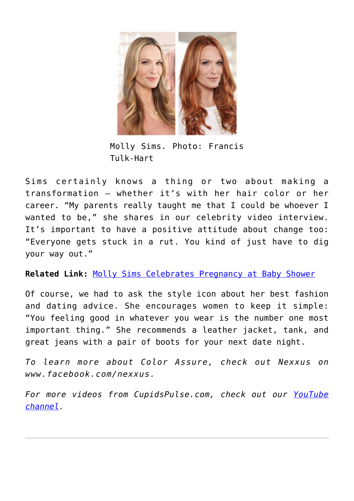

Molly Sims. Photo: Francis Tulk-Hart

Sims certainly knows a thing or two about making a transformation — whether it's with her hair color or her career. "My parents really taught me that I could be whoever I wanted to be," she shares in our celebrity video interview. It's important to have a positive attitude about change too: "Everyone gets stuck in a rut. You kind of just have to dig your way out."

**Related Link:** [Molly Sims Celebrates Pregnancy at Baby Shower](http://cupidspulse.com/molly-sims-celebrates-pregnancy-baby-shower/)

Of course, we had to ask the style icon about her best fashion and dating advice. She encourages women to keep it simple: "You feeling good in whatever you wear is the number one most important thing." She recommends a leather jacket, tank, and great jeans with a pair of boots for your next date night.

*To learn more about Color Assure, check out Nexxus on www.facebook.com/nexxus.*

*For more videos from CupidsPulse.com, check out our [YouTube](https://www.youtube.com/channel/UCP4G7LiNJEVZ7U0M24qXmfg) [channel](https://www.youtube.com/channel/UCP4G7LiNJEVZ7U0M24qXmfg).*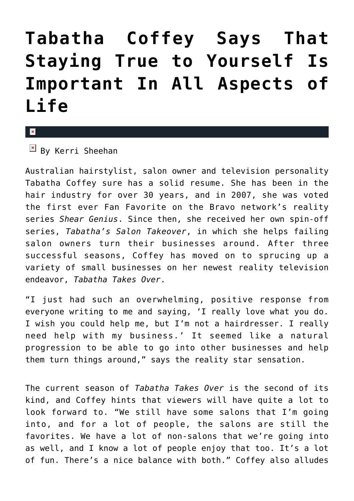# **[Tabatha Coffey Says That](https://cupidspulse.com/50671/tabatha-coffey-shares-life-relationship-hair-tips/) [Staying True to Yourself Is](https://cupidspulse.com/50671/tabatha-coffey-shares-life-relationship-hair-tips/) [Important In All Aspects of](https://cupidspulse.com/50671/tabatha-coffey-shares-life-relationship-hair-tips/) [Life](https://cupidspulse.com/50671/tabatha-coffey-shares-life-relationship-hair-tips/)**

#### x

 $\overline{B}$  By Kerri Sheehan

Australian hairstylist, salon owner and television personality Tabatha Coffey sure has a solid resume. She has been in the hair industry for over 30 years, and in 2007, she was voted the first ever Fan Favorite on the Bravo network's reality series *Shear Genius*. Since then, she received her own spin-off series, *Tabatha's Salon Takeover*, in which she helps failing salon owners turn their businesses around. After three successful seasons, Coffey has moved on to sprucing up a variety of small businesses on her newest reality television endeavor, *Tabatha Takes Over*.

"I just had such an overwhelming, positive response from everyone writing to me and saying, 'I really love what you do. I wish you could help me, but I'm not a hairdresser. I really need help with my business.' It seemed like a natural progression to be able to go into other businesses and help them turn things around," says the reality star sensation.

The current season of *Tabatha Takes Over* is the second of its kind, and Coffey hints that viewers will have quite a lot to look forward to. "We still have some salons that I'm going into, and for a lot of people, the salons are still the favorites. We have a lot of non-salons that we're going into as well, and I know a lot of people enjoy that too. It's a lot of fun. There's a nice balance with both." Coffey also alludes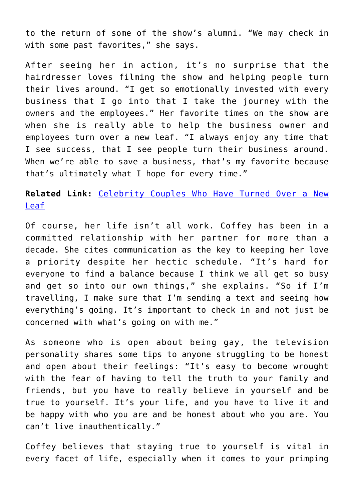to the return of some of the show's alumni. "We may check in with some past favorites," she says.

After seeing her in action, it's no surprise that the hairdresser loves filming the show and helping people turn their lives around. "I get so emotionally invested with every business that I go into that I take the journey with the owners and the employees." Her favorite times on the show are when she is really able to help the business owner and employees turn over a new leaf. "I always enjoy any time that I see success, that I see people turn their business around. When we're able to save a business, that's my favorite because that's ultimately what I hope for every time."

## **Related Link:** [Celebrity Couples Who Have Turned Over a New](http://cupidspulse.com/celebrity-couples-turned-over-new-leaf/) [Leaf](http://cupidspulse.com/celebrity-couples-turned-over-new-leaf/)

Of course, her life isn't all work. Coffey has been in a committed relationship with her partner for more than a decade. She cites communication as the key to keeping her love a priority despite her hectic schedule. "It's hard for everyone to find a balance because I think we all get so busy and get so into our own things," she explains. "So if I'm travelling, I make sure that I'm sending a text and seeing how everything's going. It's important to check in and not just be concerned with what's going on with me."

As someone who is open about being gay, the television personality shares some tips to anyone struggling to be honest and open about their feelings: "It's easy to become wrought with the fear of having to tell the truth to your family and friends, but you have to really believe in yourself and be true to yourself. It's your life, and you have to live it and be happy with who you are and be honest about who you are. You can't live inauthentically."

Coffey believes that staying true to yourself is vital in every facet of life, especially when it comes to your primping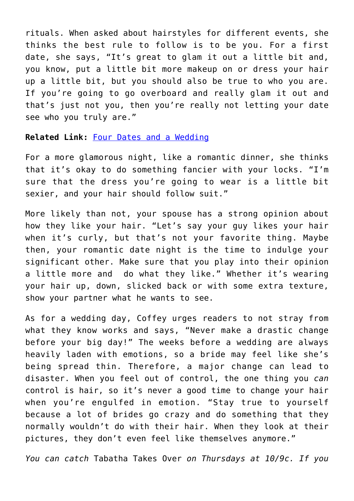rituals. When asked about hairstyles for different events, she thinks the best rule to follow is to be you. For a first date, she says, "It's great to glam it out a little bit and, you know, put a little bit more makeup on or dress your hair up a little bit, but you should also be true to who you are. If you're going to go overboard and really glam it out and that's just not you, then you're really not letting your date see who you truly are."

#### **Related Link:** [Four Dates and a Wedding](http://cupidspulse.com/four-dates-wedding-online-dating/)

For a more glamorous night, like a romantic dinner, she thinks that it's okay to do something fancier with your locks. "I'm sure that the dress you're going to wear is a little bit sexier, and your hair should follow suit."

More likely than not, your spouse has a strong opinion about how they like your hair. "Let's say your guy likes your hair when it's curly, but that's not your favorite thing. Maybe then, your romantic date night is the time to indulge your significant other. Make sure that you play into their opinion a little more and do what they like." Whether it's wearing your hair up, down, slicked back or with some extra texture, show your partner what he wants to see.

As for a wedding day, Coffey urges readers to not stray from what they know works and says, "Never make a drastic change before your big day!" The weeks before a wedding are always heavily laden with emotions, so a bride may feel like she's being spread thin. Therefore, a major change can lead to disaster. When you feel out of control, the one thing you *can* control is hair, so it's never a good time to change your hair when you're engulfed in emotion. "Stay true to yourself because a lot of brides go crazy and do something that they normally wouldn't do with their hair. When they look at their pictures, they don't even feel like themselves anymore."

*You can catch* Tabatha Takes Over *on Thursdays at 10/9c. If you*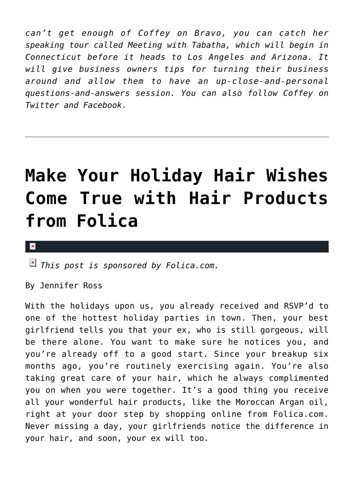*can't get enough of Coffey on Bravo, you can catch her speaking tour called Meeting with Tabatha, which will begin in Connecticut before it heads to Los Angeles and Arizona. It will give business owners tips for turning their business around and allow them to have an up-close-and-personal questions-and-answers session. You can also follow Coffey on Twitter and Facebook.*

# **[Make Your Holiday Hair Wishes](https://cupidspulse.com/41541/folica-hair-products-holiday-promotion/) [Come True with Hair Products](https://cupidspulse.com/41541/folica-hair-products-holiday-promotion/) [from Folica](https://cupidspulse.com/41541/folica-hair-products-holiday-promotion/)**

#### $\pmb{\times}$

*This post is sponsored by Folica.com.*

By Jennifer Ross

With the holidays upon us, you already received and RSVP'd to one of the hottest holiday parties in town. Then, your best girlfriend tells you that your ex, who is still gorgeous, will be there alone. You want to make sure he notices you, and you're already off to a good start. Since your breakup six months ago, you're routinely exercising again. You're also taking great care of your hair, which he always complimented you on when you were together. It's a good thing you receive all your wonderful hair products, like the Moroccan Argan oil, right at your door step by shopping online from Folica.com. Never missing a day, your girlfriends notice the difference in your hair, and soon, your ex will too.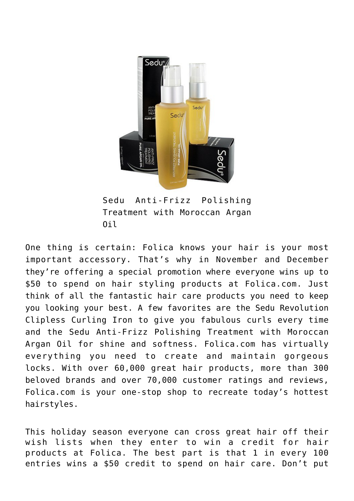

Sedu Anti-Frizz Polishing Treatment with Moroccan Argan Oil

One thing is certain: Folica knows your hair is your most important accessory. That's why in November and December they're offering a special promotion where everyone wins up to \$50 to spend on hair styling products at Folica.com. Just think of all the fantastic hair care products you need to keep you looking your best. A few favorites are the Sedu Revolution Clipless Curling Iron to give you fabulous curls every time and the Sedu Anti-Frizz Polishing Treatment with Moroccan Argan Oil for shine and softness. Folica.com has virtually everything you need to create and maintain gorgeous locks. With over 60,000 great hair products, more than 300 beloved brands and over 70,000 customer ratings and reviews, Folica.com is your one-stop shop to recreate today's hottest hairstyles.

This holiday season everyone can cross great hair off their wish lists when they enter to win a credit for hair products at Folica. The best part is that 1 in every 100 entries wins a \$50 credit to spend on hair care. Don't put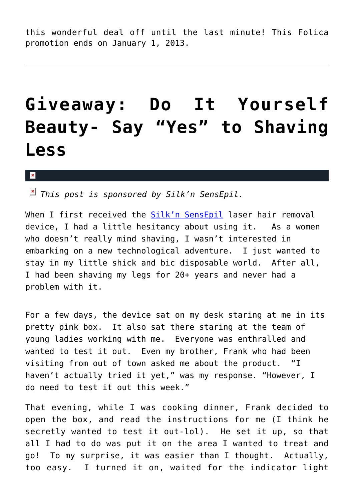this wonderful deal off until the last minute! This Folica promotion ends on January 1, 2013.

# **[Giveaway: Do It Yourself](https://cupidspulse.com/20653/diy-beauty-giveaway-say-yes-to-shaving-less/) [Beauty- Say "Yes" to Shaving](https://cupidspulse.com/20653/diy-beauty-giveaway-say-yes-to-shaving-less/) [Less](https://cupidspulse.com/20653/diy-beauty-giveaway-say-yes-to-shaving-less/)**

 $\mathbf{x}$ 

*This post is sponsored by Silk'n SensEpil.*

When I first received the [Silk'n SensEpil](http://www.silkn.com/) laser hair removal device, I had a little hesitancy about using it. As a women who doesn't really mind shaving, I wasn't interested in embarking on a new technological adventure. I just wanted to stay in my little shick and bic disposable world. After all, I had been shaving my legs for 20+ years and never had a problem with it.

For a few days, the device sat on my desk staring at me in its pretty pink box. It also sat there staring at the team of young ladies working with me. Everyone was enthralled and wanted to test it out. Even my brother, Frank who had been visiting from out of town asked me about the product. "I haven't actually tried it yet," was my response. "However, I do need to test it out this week."

That evening, while I was cooking dinner, Frank decided to open the box, and read the instructions for me (I think he secretly wanted to test it out-lol). He set it up, so that all I had to do was put it on the area I wanted to treat and go! To my surprise, it was easier than I thought. Actually, too easy. I turned it on, waited for the indicator light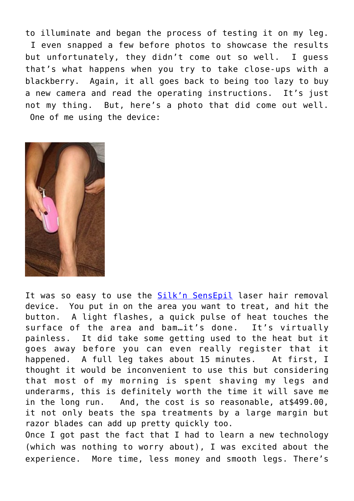to illuminate and began the process of testing it on my leg. I even snapped a few before photos to showcase the results but unfortunately, they didn't come out so well. I guess that's what happens when you try to take close-ups with a blackberry. Again, it all goes back to being too lazy to buy a new camera and read the operating instructions. It's just not my thing. But, here's a photo that did come out well. One of me using the device:



It was so easy to use the [Silk'n SensEpil](http://www.silkn.com/) laser hair removal device. You put in on the area you want to treat, and hit the button. A light flashes, a quick pulse of heat touches the surface of the area and bam.it's done. It's virtually painless. It did take some getting used to the heat but it goes away before you can even really register that it happened. A full leg takes about 15 minutes. At first, I thought it would be inconvenient to use this but considering that most of my morning is spent shaving my legs and underarms, this is definitely worth the time it will save me in the long run. And, the cost is so reasonable, at\$499.00, it not only beats the spa treatments by a large margin but razor blades can add up pretty quickly too.

Once I got past the fact that I had to learn a new technology (which was nothing to worry about), I was excited about the experience. More time, less money and smooth legs. There's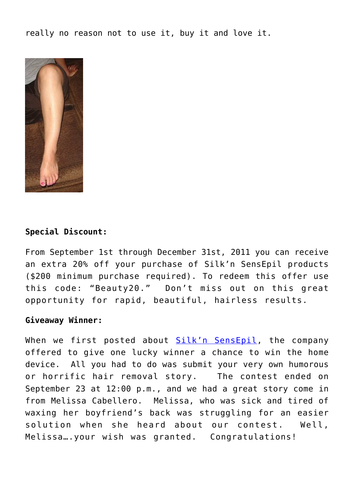really no reason not to use it, buy it and love it.



### **Special Discount:**

From September 1st through December 31st, 2011 you can receive an extra 20% off your purchase of Silk'n SensEpil products (\$200 minimum purchase required). To redeem this offer use this code: "Beauty20." Don't miss out on this great opportunity for rapid, beautiful, hairless results.

#### **Giveaway Winner:**

When we first posted about [Silk'n SensEpil,](http://www.silkn.com/) the company offered to give one lucky winner a chance to win the home device. All you had to do was submit your very own humorous or horrific hair removal story. The contest ended on September 23 at 12:00 p.m., and we had a great story come in from Melissa Cabellero. Melissa, who was sick and tired of waxing her boyfriend's back was struggling for an easier solution when she heard about our contest. Well, Melissa….your wish was granted. Congratulations!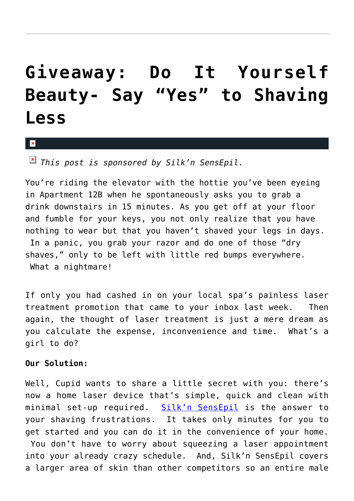# **[Giveaway: Do It Yourself](https://cupidspulse.com/19843/silkn-sensepil-hair-laser-removal-giveaway/) [Beauty- Say "Yes" to Shaving](https://cupidspulse.com/19843/silkn-sensepil-hair-laser-removal-giveaway/) [Less](https://cupidspulse.com/19843/silkn-sensepil-hair-laser-removal-giveaway/)**

 $\pmb{\times}$ 

*This post is sponsored by Silk'n SensEpil.*

You're riding the elevator with the hottie you've been eyeing in Apartment 12B when he spontaneously asks you to grab a drink downstairs in 15 minutes. As you get off at your floor and fumble for your keys, you not only realize that you have nothing to wear but that you haven't shaved your legs in days. In a panic, you grab your razor and do one of those "dry shaves," only to be left with little red bumps everywhere. What a nightmare!

If only you had cashed in on your local spa's painless laser treatment promotion that came to your inbox last week. Then again, the thought of laser treatment is just a mere dream as you calculate the expense, inconvenience and time. What's a girl to do?

#### **Our Solution:**

Well, Cupid wants to share a little secret with you: there's now a home laser device that's simple, quick and clean with minimal set-up required. [Silk'n SensEpil](http://www.silkn.com/) is the answer to your shaving frustrations. It takes only minutes for you to get started and you can do it in the convenience of your home. You don't have to worry about squeezing a laser appointment into your already crazy schedule. And, Silk'n SensEpil covers a larger area of skin than other competitors so an entire male